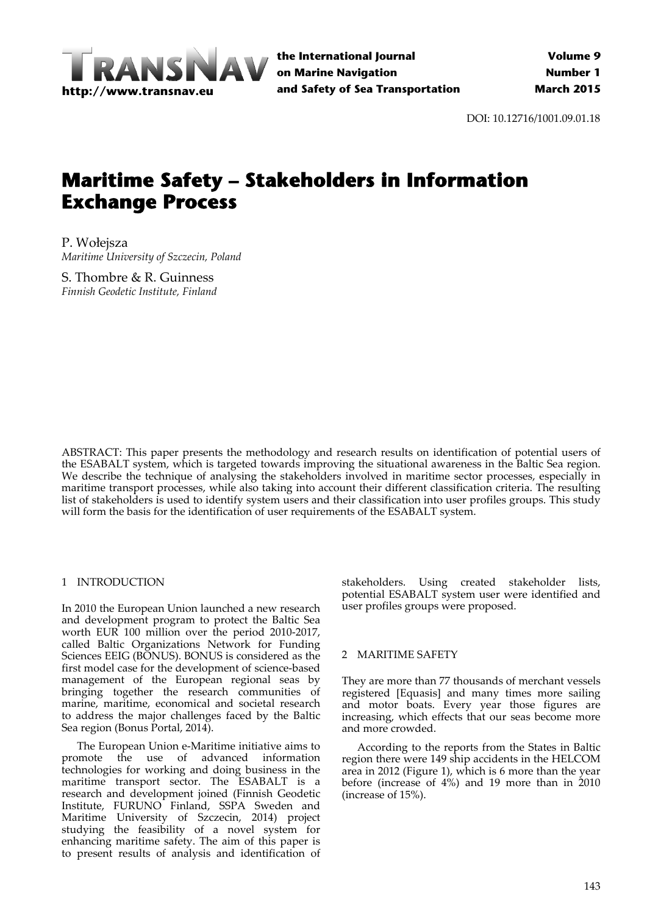

**the International Journal on Marine Navigation and Safety of Sea Transportation**

DOI: 10.12716/1001.09.01.18

# **Maritime Safety – Stakeholders in Information Exchange Process**

P. Wołejsza *Maritime University of Szczecin, Poland*

S. Thombre & R. Guinness *Finnish Geodetic Institute, Finland*

ABSTRACT: This paper presents the methodology and research results on identification of potential users of the ESABALT system, which is targeted towards improving the situational awareness in the Baltic Sea region. We describe the technique of analysing the stakeholders involved in maritime sector processes, especially in maritime transport processes, while also taking into account their different classification criteria. The resulting list of stakeholders is used to identify system users and their classification into user profiles groups. This study will form the basis for the identification of user requirements of the ESABALT system.

# 1 INTRODUCTION

In 2010 the European Union launched a new research and development program to protect the Baltic Sea worth EUR 100 million over the period 2010‐2017, called Baltic Organizations Network for Funding Sciences EEIG (BONUS). BONUS is considered as the first model case for the development of science‐based management of the European regional seas by bringing together the research communities of marine, maritime, economical and societal research to address the major challenges faced by the Baltic Sea region (Bonus Portal, 2014).

The European Union e‐Maritime initiative aims to promote the use of advanced information technologies for working and doing business in the maritime transport sector. The ESABALT is a research and development joined (Finnish Geodetic Institute, FURUNO Finland, SSPA Sweden and Maritime University of Szczecin, 2014) project studying the feasibility of a novel system for enhancing maritime safety. The aim of this paper is to present results of analysis and identification of

stakeholders. Using created stakeholder lists, potential ESABALT system user were identified and user profiles groups were proposed.

#### 2 MARITIME SAFETY

They are more than 77 thousands of merchant vessels registered [Equasis] and many times more sailing and motor boats. Every year those figures are increasing, which effects that our seas become more and more crowded.

According to the reports from the States in Baltic region there were 149 ship accidents in the HELCOM area in 2012 (Figure 1), which is 6 more than the year before (increase of 4%) and 19 more than in 2010 (increase of 15%).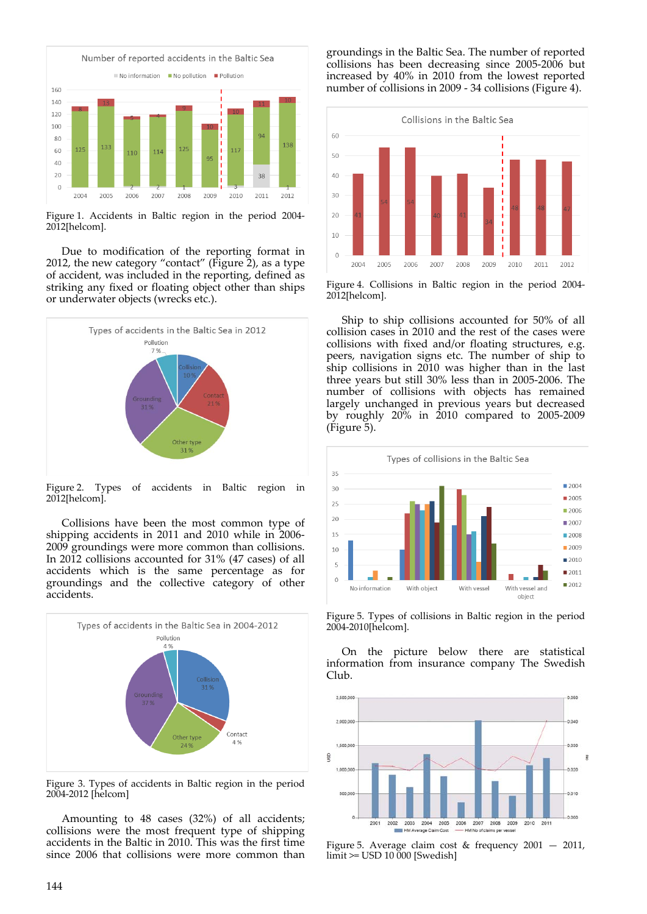

Figure 1. Accidents in Baltic region in the period 2004‐ 2012[helcom].

Due to modification of the reporting format in 2012, the new category "contact" (Figure 2), as a type of accident, was included in the reporting, defined as striking any fixed or floating object other than ships or underwater objects (wrecks etc.).



Figure 2. Types of accidents in Baltic region in 2012[helcom].

Collisions have been the most common type of shipping accidents in 2011 and 2010 while in 2006‐ 2009 groundings were more common than collisions. In 2012 collisions accounted for 31% (47 cases) of all accidents which is the same percentage as for groundings and the collective category of other accidents.



Figure 3. Types of accidents in Baltic region in the period 2004‐2012 [helcom]

Amounting to 48 cases (32%) of all accidents; collisions were the most frequent type of shipping accidents in the Baltic in 2010. This was the first time since 2006 that collisions were more common than

groundings in the Baltic Sea. The number of reported collisions has been decreasing since 2005‐2006 but increased by 40% in 2010 from the lowest reported number of collisions in 2009 ‐ 34 collisions (Figure 4).



Figure 4. Collisions in Baltic region in the period 2004‐ 2012[helcom].

Ship to ship collisions accounted for 50% of all collision cases in 2010 and the rest of the cases were collisions with fixed and/or floating structures, e.g. peers, navigation signs etc. The number of ship to ship collisions in 2010 was higher than in the last three years but still 30% less than in 2005‐2006. The number of collisions with objects has remained largely unchanged in previous years but decreased by roughly 20% in 2010 compared to 2005‐2009 (Figure 5).



Figure 5. Types of collisions in Baltic region in the period 2004‐2010[helcom].

On the picture below there are statistical information from insurance company The Swedish Club.



Figure 5. Average claim cost & frequency 2001 — 2011, limit >= USD 10 000 [Swedish]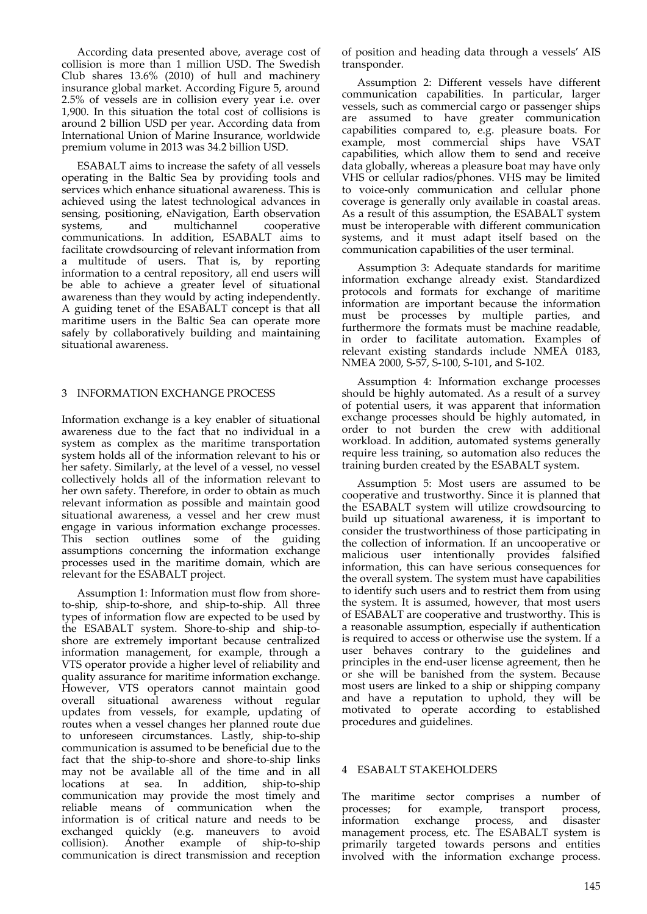According data presented above, average cost of collision is more than 1 million USD. The Swedish Club shares 13.6% (2010) of hull and machinery insurance global market. According Figure 5, around 2.5% of vessels are in collision every year i.e. over 1,900. In this situation the total cost of collisions is around 2 billion USD per year. According data from International Union of Marine Insurance, worldwide premium volume in 2013 was 34.2 billion USD.

ESABALT aims to increase the safety of all vessels operating in the Baltic Sea by providing tools and services which enhance situational awareness. This is achieved using the latest technological advances in sensing, positioning, eNavigation, Earth observation<br>systems, and multichannel cooperative systems, and multichannel cooperative communications. In addition, ESABALT aims to facilitate crowdsourcing of relevant information from a multitude of users. That is, by reporting information to a central repository, all end users will be able to achieve a greater level of situational awareness than they would by acting independently. A guiding tenet of the ESABALT concept is that all maritime users in the Baltic Sea can operate more safely by collaboratively building and maintaining situational awareness.

# 3 INFORMATION EXCHANGE PROCESS

Information exchange is a key enabler of situational awareness due to the fact that no individual in a system as complex as the maritime transportation system holds all of the information relevant to his or her safety. Similarly, at the level of a vessel, no vessel collectively holds all of the information relevant to her own safety. Therefore, in order to obtain as much relevant information as possible and maintain good situational awareness, a vessel and her crew must engage in various information exchange processes. This section outlines some of the guiding assumptions concerning the information exchange processes used in the maritime domain, which are relevant for the ESABALT project.

Assumption 1: Information must flow from shore‐ to‐ship, ship‐to‐shore, and ship‐to‐ship. All three types of information flow are expected to be used by the ESABALT system. Shore‐to‐ship and ship‐to‐ shore are extremely important because centralized information management, for example, through a VTS operator provide a higher level of reliability and quality assurance for maritime information exchange. However, VTS operators cannot maintain good overall situational awareness without regular updates from vessels, for example, updating of routes when a vessel changes her planned route due to unforeseen circumstances. Lastly, ship‐to‐ship communication is assumed to be beneficial due to the fact that the ship-to-shore and shore-to-ship links may not be available all of the time and in all locations at sea. In addition, ship‐to‐ship communication may provide the most timely and reliable means of communication when the information is of critical nature and needs to be exchanged quickly (e.g. maneuvers to avoid collision). Another example of ship‐to‐ship communication is direct transmission and reception of position and heading data through a vessels' AIS transponder.

Assumption 2: Different vessels have different communication capabilities. In particular, larger vessels, such as commercial cargo or passenger ships are assumed to have greater communication capabilities compared to, e.g. pleasure boats. For example, most commercial ships have VSAT capabilities, which allow them to send and receive data globally, whereas a pleasure boat may have only VHS or cellular radios/phones. VHS may be limited to voice‐only communication and cellular phone coverage is generally only available in coastal areas. As a result of this assumption, the ESABALT system must be interoperable with different communication systems, and it must adapt itself based on the communication capabilities of the user terminal.

Assumption 3: Adequate standards for maritime information exchange already exist. Standardized protocols and formats for exchange of maritime information are important because the information must be processes by multiple parties, and furthermore the formats must be machine readable, in order to facilitate automation. Examples of relevant existing standards include NMEA 0183, NMEA 2000, S‐57, S‐100, S‐101, and S‐102.

Assumption 4: Information exchange processes should be highly automated. As a result of a survey of potential users, it was apparent that information exchange processes should be highly automated, in order to not burden the crew with additional workload. In addition, automated systems generally require less training, so automation also reduces the training burden created by the ESABALT system.

Assumption 5: Most users are assumed to be cooperative and trustworthy. Since it is planned that the ESABALT system will utilize crowdsourcing to build up situational awareness, it is important to consider the trustworthiness of those participating in the collection of information. If an uncooperative or malicious user intentionally provides falsified information, this can have serious consequences for the overall system. The system must have capabilities to identify such users and to restrict them from using the system. It is assumed, however, that most users of ESABALT are cooperative and trustworthy. This is a reasonable assumption, especially if authentication is required to access or otherwise use the system. If a user behaves contrary to the guidelines and principles in the end‐user license agreement, then he or she will be banished from the system. Because most users are linked to a ship or shipping company and have a reputation to uphold, they will be motivated to operate according to established procedures and guidelines.

#### 4 ESABALT STAKEHOLDERS

The maritime sector comprises a number of processes; for example, transport process, information exchange process, and disaster management process, etc. The ESABALT system is primarily targeted towards persons and entities involved with the information exchange process.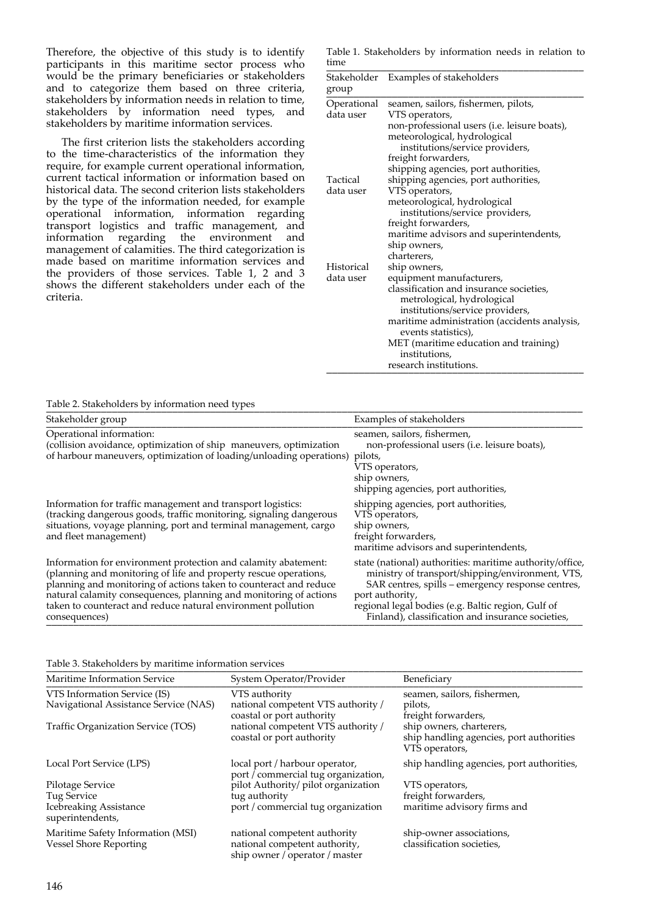Therefore, the objective of this study is to identify participants in this maritime sector process who would be the primary beneficiaries or stakeholders and to categorize them based on three criteria, stakeholders by information needs in relation to time, stakeholders by information need types, and stakeholders by maritime information services.

The first criterion lists the stakeholders according to the time‐characteristics of the information they require, for example current operational information, current tactical information or information based on historical data. The second criterion lists stakeholders by the type of the information needed, for example operational information, information regarding transport logistics and traffic management, and information regarding the environment and management of calamities. The third categorization is made based on maritime information services and the providers of those services. Table 1, 2 and 3 shows the different stakeholders under each of the criteria.

Table 1. Stakeholders by information needs in relation to time \_\_\_\_\_\_\_\_\_\_\_\_\_\_\_\_\_\_\_\_\_\_\_\_\_\_\_\_\_\_\_\_\_\_\_\_\_\_\_\_\_\_\_\_\_\_\_

| Stakeholder<br>group | Examples of stakeholders                     |
|----------------------|----------------------------------------------|
| Operational          | seamen, sailors, fishermen, pilots,          |
| data user            |                                              |
|                      | VTS operators,                               |
|                      | non-professional users (i.e. leisure boats), |
|                      | meteorological, hydrological                 |
|                      | institutions/service providers,              |
|                      | freight forwarders,                          |
|                      | shipping agencies, port authorities,         |
| Tactical             | shipping agencies, port authorities,         |
| data user            | VTS operators,                               |
|                      | meteorological, hydrological                 |
|                      | institutions/service providers,              |
|                      | freight forwarders,                          |
|                      | maritime advisors and superintendents,       |
|                      | ship owners,                                 |
|                      | charterers,                                  |
| Historical           | ship owners,                                 |
| data user            | equipment manufacturers,                     |
|                      | classification and insurance societies,      |
|                      | metrological, hydrological                   |
|                      | institutions/service providers,              |
|                      | maritime administration (accidents analysis, |
|                      | events statistics),                          |
|                      | MET (maritime education and training)        |
|                      | institutions,                                |
|                      | research institutions.                       |
|                      |                                              |

### Table 2. Stakeholders by information need types

| Stakeholder group                                                                                                                                                                                                                                                                                                                                             | Examples of stakeholders                                                                                                                                                                                                                                                                        |
|---------------------------------------------------------------------------------------------------------------------------------------------------------------------------------------------------------------------------------------------------------------------------------------------------------------------------------------------------------------|-------------------------------------------------------------------------------------------------------------------------------------------------------------------------------------------------------------------------------------------------------------------------------------------------|
| Operational information:<br>(collision avoidance, optimization of ship maneuvers, optimization<br>of harbour maneuvers, optimization of loading/unloading operations) pilots,                                                                                                                                                                                 | seamen, sailors, fishermen,<br>non-professional users (i.e. leisure boats),<br>VTS operators,<br>ship owners,<br>shipping agencies, port authorities,                                                                                                                                           |
| Information for traffic management and transport logistics:<br>(tracking dangerous goods, traffic monitoring, signaling dangerous<br>situations, voyage planning, port and terminal management, cargo<br>and fleet management)                                                                                                                                | shipping agencies, port authorities,<br>VTS operators,<br>ship owners,<br>freight forwarders,<br>maritime advisors and superintendents,                                                                                                                                                         |
| Information for environment protection and calamity abatement:<br>(planning and monitoring of life and property rescue operations,<br>planning and monitoring of actions taken to counteract and reduce<br>natural calamity consequences, planning and monitoring of actions<br>taken to counteract and reduce natural environment pollution<br>consequences) | state (national) authorities: maritime authority/office,<br>ministry of transport/shipping/environment, VTS,<br>SAR centres, spills - emergency response centres,<br>port authority,<br>regional legal bodies (e.g. Baltic region, Gulf of<br>Finland), classification and insurance societies, |

#### Table 3. Stakeholders by maritime information services \_\_\_\_\_\_\_\_\_\_\_\_\_\_\_\_\_\_\_\_\_\_\_\_\_\_\_\_\_\_\_\_\_\_\_\_\_\_\_\_\_\_\_\_\_\_\_\_\_\_\_\_\_\_\_\_\_\_\_\_\_\_\_\_\_\_\_\_\_\_\_\_\_\_\_\_\_\_\_\_\_\_\_\_\_\_\_\_\_\_\_\_\_\_\_\_\_\_

| Maritime Information Service                                                  | System Operator/Provider                                                                        | Beneficiary                                                                            |  |
|-------------------------------------------------------------------------------|-------------------------------------------------------------------------------------------------|----------------------------------------------------------------------------------------|--|
| VTS Information Service (IS)<br>Navigational Assistance Service (NAS)         | VTS authority<br>national competent VTS authority /<br>coastal or port authority                | seamen, sailors, fishermen,<br>pilots,<br>freight forwarders,                          |  |
| Traffic Organization Service (TOS)                                            | national competent VTS authority /<br>coastal or port authority                                 | ship owners, charterers,<br>ship handling agencies, port authorities<br>VTS operators, |  |
| Local Port Service (LPS)                                                      | local port / harbour operator,<br>port / commercial tug organization,                           | ship handling agencies, port authorities,                                              |  |
| Pilotage Service<br>Tug Service<br>Icebreaking Assistance<br>superintendents, | pilot Authority/ pilot organization<br>tug authority<br>port / commercial tug organization      | VTS operators,<br>freight forwarders,<br>maritime advisory firms and                   |  |
| Maritime Safety Information (MSI)<br><b>Vessel Shore Reporting</b>            | national competent authority<br>national competent authority,<br>ship owner / operator / master | ship-owner associations,<br>classification societies.                                  |  |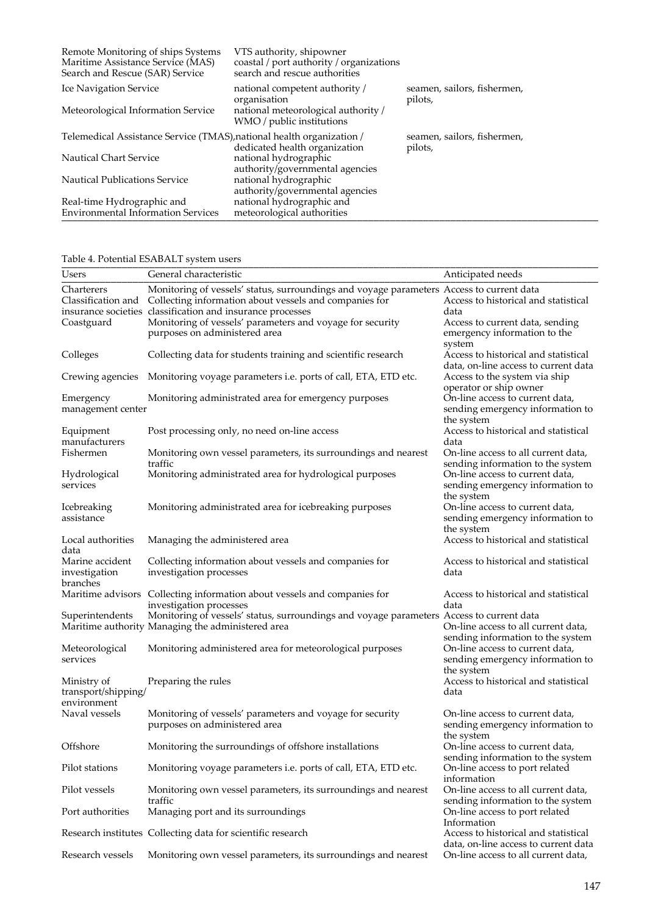| Remote Monitoring of ships Systems<br>Maritime Assistance Service (MAS)<br>Search and Rescue (SAR) Service | VTS authority, shipowner<br>coastal / port authority / organizations<br>search and rescue authorities              |                                        |
|------------------------------------------------------------------------------------------------------------|--------------------------------------------------------------------------------------------------------------------|----------------------------------------|
| Ice Navigation Service<br>Meteorological Information Service                                               | national competent authority /<br>organisation<br>national meteorological authority /<br>WMO / public institutions | seamen, sailors, fishermen,<br>pilots, |
| Telemedical Assistance Service (TMAS), national health organization /                                      | dedicated health organization                                                                                      | seamen, sailors, fishermen,<br>pilots, |
| <b>Nautical Chart Service</b>                                                                              | national hydrographic<br>authority/governmental agencies                                                           |                                        |
| <b>Nautical Publications Service</b>                                                                       | national hydrographic<br>authority/governmental agencies                                                           |                                        |
| Real-time Hydrographic and<br><b>Environmental Information Services</b>                                    | national hydrographic and<br>meteorological authorities                                                            |                                        |

| Table 4. Potential ESABALT system users           |                                                                                                                                                                                                                  |                                                                                   |  |  |
|---------------------------------------------------|------------------------------------------------------------------------------------------------------------------------------------------------------------------------------------------------------------------|-----------------------------------------------------------------------------------|--|--|
| <b>Users</b>                                      | General characteristic                                                                                                                                                                                           | Anticipated needs                                                                 |  |  |
| Charterers<br>Classification and                  | Monitoring of vessels' status, surroundings and voyage parameters Access to current data<br>Collecting information about vessels and companies for<br>insurance societies classification and insurance processes | Access to historical and statistical<br>data                                      |  |  |
| Coastguard                                        | Monitoring of vessels' parameters and voyage for security<br>purposes on administered area                                                                                                                       | Access to current data, sending<br>emergency information to the<br>system         |  |  |
| Colleges                                          | Collecting data for students training and scientific research                                                                                                                                                    | Access to historical and statistical<br>data, on-line access to current data      |  |  |
| Crewing agencies                                  | Monitoring voyage parameters <i>i.e.</i> ports of call, ETA, ETD etc.                                                                                                                                            | Access to the system via ship<br>operator or ship owner                           |  |  |
| Emergency<br>management center                    | Monitoring administrated area for emergency purposes                                                                                                                                                             | On-line access to current data,<br>sending emergency information to<br>the system |  |  |
| Equipment<br>manufacturers                        | Post processing only, no need on-line access                                                                                                                                                                     | Access to historical and statistical<br>data                                      |  |  |
| Fishermen                                         | Monitoring own vessel parameters, its surroundings and nearest<br>traffic                                                                                                                                        | On-line access to all current data,<br>sending information to the system          |  |  |
| Hydrological<br>services                          | Monitoring administrated area for hydrological purposes                                                                                                                                                          | On-line access to current data,<br>sending emergency information to<br>the system |  |  |
| Icebreaking<br>assistance                         | Monitoring administrated area for icebreaking purposes                                                                                                                                                           | On-line access to current data,<br>sending emergency information to<br>the system |  |  |
| Local authorities<br>data                         | Managing the administered area                                                                                                                                                                                   | Access to historical and statistical                                              |  |  |
| Marine accident<br>investigation<br>branches      | Collecting information about vessels and companies for<br>investigation processes                                                                                                                                | Access to historical and statistical<br>data                                      |  |  |
|                                                   | Maritime advisors Collecting information about vessels and companies for<br>investigation processes                                                                                                              | Access to historical and statistical<br>data                                      |  |  |
| Superintendents                                   | Monitoring of vessels' status, surroundings and voyage parameters Access to current data<br>Maritime authority Managing the administered area                                                                    | On-line access to all current data,<br>sending information to the system          |  |  |
| Meteorological<br>services                        | Monitoring administered area for meteorological purposes                                                                                                                                                         | On-line access to current data,<br>sending emergency information to<br>the system |  |  |
| Ministry of<br>transport/shipping/<br>environment | Preparing the rules                                                                                                                                                                                              | Access to historical and statistical<br>data                                      |  |  |
| Naval vessels                                     | Monitoring of vessels' parameters and voyage for security<br>purposes on administered area                                                                                                                       | On-line access to current data,<br>sending emergency information to<br>the system |  |  |
| Offshore                                          | Monitoring the surroundings of offshore installations                                                                                                                                                            | On-line access to current data,<br>sending information to the system              |  |  |
| Pilot stations                                    | Monitoring voyage parameters i.e. ports of call, ETA, ETD etc.                                                                                                                                                   | On-line access to port related<br>information                                     |  |  |
| Pilot vessels                                     | Monitoring own vessel parameters, its surroundings and nearest<br>traffic                                                                                                                                        | On-line access to all current data,<br>sending information to the system          |  |  |
| Port authorities                                  | Managing port and its surroundings                                                                                                                                                                               | On-line access to port related<br>Information                                     |  |  |
|                                                   | Research institutes Collecting data for scientific research                                                                                                                                                      | Access to historical and statistical<br>data, on-line access to current data      |  |  |
| Research vessels                                  | Monitoring own vessel parameters, its surroundings and nearest                                                                                                                                                   | On-line access to all current data,                                               |  |  |